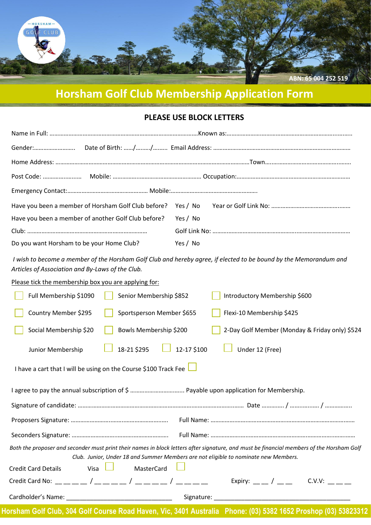

# **Horsham Golf Club Membership Application Form**

#### **PLEASE USE BLOCK LETTERS**

| Have you been a member of another Golf Club before? | Yes / No |  |  |
|-----------------------------------------------------|----------|--|--|
|                                                     |          |  |  |
| Do you want Horsham to be your Home Club?           | Yes / No |  |  |

*I wish to become a member of the Horsham Golf Club and hereby agree, if elected to be bound by the Memorandum and Articles of Association and By-Laws of the Club.*

Please tick the membership box you are applying for:

| Full Membership \$1090                                                                                                                                                                                                           | Senior Membership \$852    | Introductory Membership \$600                                                                                  |  |
|----------------------------------------------------------------------------------------------------------------------------------------------------------------------------------------------------------------------------------|----------------------------|----------------------------------------------------------------------------------------------------------------|--|
| Country Member \$295                                                                                                                                                                                                             | Sportsperson Member \$655  | Flexi-10 Membership \$425                                                                                      |  |
| Social Membership \$20                                                                                                                                                                                                           | Bowls Membership \$200     | 2-Day Golf Member (Monday & Friday only) \$524                                                                 |  |
| Junior Membership                                                                                                                                                                                                                | 12-17 \$100<br>18-21 \$295 | Under 12 (Free)                                                                                                |  |
| I have a cart that I will be using on the Course \$100 Track Fee                                                                                                                                                                 |                            |                                                                                                                |  |
|                                                                                                                                                                                                                                  |                            |                                                                                                                |  |
|                                                                                                                                                                                                                                  |                            |                                                                                                                |  |
|                                                                                                                                                                                                                                  |                            |                                                                                                                |  |
|                                                                                                                                                                                                                                  |                            |                                                                                                                |  |
| Both the proposer and seconder must print their names in block letters after signature, and must be financial members of the Horsham Golf<br>Club. Junior, Under 18 and Summer Members are not eligible to nominate new Members. |                            |                                                                                                                |  |
| <b>Credit Card Details</b><br>Visa                                                                                                                                                                                               | MasterCard                 |                                                                                                                |  |
|                                                                                                                                                                                                                                  |                            |                                                                                                                |  |
|                                                                                                                                                                                                                                  |                            |                                                                                                                |  |
|                                                                                                                                                                                                                                  |                            | Horsham Golf Club, 304 Golf Course Road Haven, Vic, 3401 Australia Phone: (03) 5382 1652 Proshop (03) 53823312 |  |